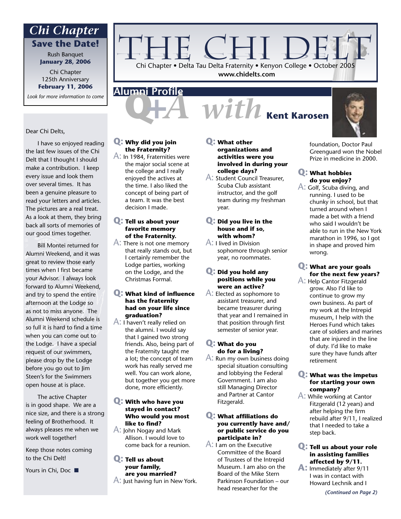## **Save the Date!** *Chi Chapter*

Rush Banquet **January 28, 2006**

Chi Chapter 125th Anniversary **February 11, 2006**

*Look for more information to come*

#### Dear Chi Delts,

 I have so enjoyed reading the last few issues of the Chi Delt that I thought I should make a contribution. I keep every issue and look them over several times. It has been a genuine pleasure to read your letters and articles. The pictures are a real treat. As a look at them, they bring back all sorts of memories of our good times together.

 Bill Montei returned for Alumni Weekend, and it was great to review those early times when I first became your Advisor. I always look forward to Alumni Weekend, and try to spend the entire afternoon at the Lodge so as not to miss anyone. The Alumni Weekend schedule is so full it is hard to find a time when you can come out to the Lodge. I have a special request of our swimmers, please drop by the Lodge before you go out to Jim Steen's for the Swimmers open house at is place.

 The active Chapter is in good shape. We are a nice size, and there is a strong feeling of Brotherhood. It always pleases me when we work well together!

Keep those notes coming to the Chi Delt!

Yours in Chi, Doc ■

#### **Q: Why did you join the Fraternity?**

**Alumni Profile**

A: In 1984, Fraternities were the major social scene at the college and I really enjoyed the actives at the time. I also liked the concept of being part of a team. It was the best decision I made.

#### **Q: Tell us about your favorite memory of the Fraternity.**

A: There is not one memory that really stands out, but I certainly remember the Lodge parties, working on the Lodge, and the Christmas Formal.

#### **Q: What kind of influence has the fraternity had on your life since graduation?**

A: I haven't really relied on the alumni. I would say that I gained two strong friends. Also, being part of the Fraternity taught me a lot; the concept of team work has really served me well. You can work alone, but together you get more done, more efficiently.

#### **Q: With who have you stayed in contact? Who would you most like to find?**

A: John Nogay and Mark Allison. I would love to come back for a reunion.

#### **Q: Tell us about your family, are you married?**  $\mathsf{A}$ : Just having fun in New York.

#### **Q: What other organizations and activities were you involved in during your college days?**

Chi Chapter • Delta Tau Delta Fraternity • Kenyon College • October 2005 **www.chidelts.com**

CHI D.

- A: Student Council Treasurer, Scuba Club assistant instructor, and the golf team during my freshman year.
- **Q: Did you live in the house and if so, with whom?**

A: I lived in Division sophomore through senior year, no roommates.

#### **Q: Did you hold any positions while you were an active?**

A: Elected as sophomore to assistant treasurer, and became treasurer during that year and I remained in that position through first semester of senior year.

#### **Q: What do you do for a living?**

A: Run my own business doing special situation consulting and lobbying the Federal Government. I am also still Managing Director and Partner at Cantor Fitzgerald.

#### **Q: What affiliations do you currently have and/ or public service do you participate in?**

A: I am on the Executive Committee of the Board of Trustees of the Intrepid Museum. I am also on the Board of the Mike Stern Parkinson Foundation – our head researcher for the

foundation, Doctor Paul Greenguard won the Nobel Prize in medicine in 2000.

#### **Q: What hobbies do you enjoy?**

A: Golf, Scuba diving, and running. I used to be chunky in school, but that turned around when I made a bet with a friend who said I wouldn't be able to run in the New York marathon in 1996, so I got in shape and proved him wrong.

#### **Q: What are your goals for the next few years?**

A: Help Cantor Fitzgerald grow. Also I'd like to continue to grow my own business. As part of my work at the Intrepid museum, I help with the Heroes Fund which takes care of soldiers and marines that are injured in the line of duty. I'd like to make sure they have funds after retirement

#### **Q: What was the impetus for starting your own company?**

A: While working at Cantor Fitzgerald (12 years) and after helping the firm rebuild after 9/11, I realized that I needed to take a step back.

#### **Q: Tell us about your role in assisting families affected by 9/11.**

**A:** Immediately after 9/11 I was in contact with Howard Lechnik and I

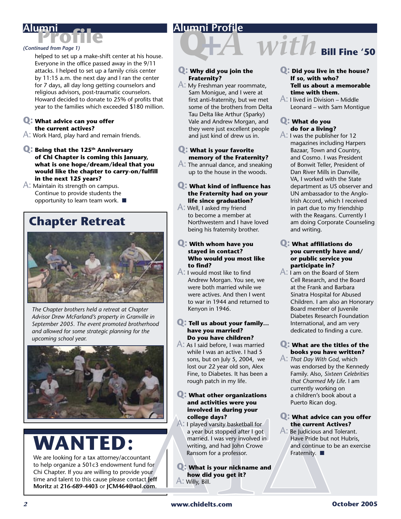### **Alumni Profile**

#### *(Continued from Page 1)*

**Profile Alumni**

helped to set up a make-shift center at his house. Everyone in the office passed away in the 9/11 attacks. I helped to set up a family crisis center by 11:15 a.m. the next day and I ran the center for 7 days, all day long getting counselors and religious advisors, post-traumatic counselors. Howard decided to donate to 25% of profits that year to the families which exceeded \$180 million.

#### **Q: What advice can you offer the current actives?**

A: Work Hard, play hard and remain friends.

**Q: Being that the 125th Anniversary of Chi Chapter is coming this January, what is one hope/dream/ideal that you would like the chapter to carry-on/fulfill in the next 125 years?**

#### A: Maintain its strength on campus. Continue to provide students the opportunity to learn team work. ■

## **Chapter Retreat**



*The Chapter brothers held a retreat at Chapter Advisor Drew McFarland's property in Granville in September 2005. The event promoted brotherhood and allowed for some strategic planning for the upcoming school year.*



# **WANTEI**

We are looking for a tax attorney/accountant to help organize a 501c3 endowment fund for Chi Chapter. If you are willing to provide your time and talent to this cause please contact **Jeff Moritz** at **216-689-4403** or **JCM464@aol.com**.

#### **Q: Why did you join the Fraternity?**

A: My Freshman year roommate, Sam Monigue, and I were at first anti-fraternity, but we met some of the brothers from Delta Tau Delta like Arthur (Sparky) Vale and Andrew Morgan, and they were just excellent people and just kind of drew us in.

#### **Q: What is your favorite memory of the Fraternity?**

A: The annual dance, and sneaking up to the house in the woods.

#### **Q: What kind of influence has the Fraternity had on your life since graduation?**

A: Well, I asked my friend to become a member at Northwestern and I have loved being his fraternity brother.

#### **Q: With whom have you stayed in contact? Who would you most like to find?**

A: I would most like to find Andrew Morgan. You see, we were both married while we were actives. And then I went to war in 1944 and returned to Kenyon in 1946.

#### **Q: Tell us about your family… have you married? Do you have children?**

A: As I said before, I was married while I was an active. I had 5 sons, but on July 5, 2004, we lost our 22 year old son, Alex Fine, to Diabetes. It has been a rough patch in my life.

#### **Q: What other organizations and activities were you involved in during your college days?**

- Material and the current A<br>
a year but stopped after I got<br>
a year but stopped after I got<br>
a year but stopped after I got<br>
married. I was very involved in<br>
writing, and had John Crowe<br>
tant<br>
material and for<br>
your<br>
your<br> A: I played varsity basketball for a year but stopped after I got married. I was very involved in writing, and had John Crowe Ransom for a professor.
	- **Q: What is your nickname and how did you get it?** A: Willy, Bill.

#### **Q: Did you live in the house? If so, with who? Tell us about a memorable time with them.**

 $With$  **Bill Fine '50** 

A: I lived in Division – Middle Leonard – with Sam Montigue

#### **Q: What do you do for a living?**

A: I was the publisher for 12 magazines including Harpers Bazaar, Town and Country, and Cosmo. I was President of Bonwit Teller, President of Dan River Mills in Danville, VA, I worked with the State department as US observer and UN ambassador to the Anglo-Irish Accord, which I received in part due to my friendship with the Reagans. Currently I am doing Corporate Counseling and writing.

#### **Q: What affiliations do you currently have and/ or public service you participate in?**

A: I am on the Board of Stem Cell Research, and the Board at the Frank and Barbara Sinatra Hospital for Abused Children. I am also an Honorary Board member of Juvenile Diabetes Research Foundation International, and am very dedicated to finding a cure.

#### **Q: What are the titles of the books you have written?**

A: *That Day With God*, which was endorsed by the Kennedy Family. Also, *Sixteen Celebrities that Charmed My Life*. I am currently working on a children's book about a Puerto Rican dog.

#### **Q: What advice can you offer the current Actives?**

A: Be Judicious and Tolerant. Have Pride but not Hubris, and continue to be an exercise Fraternity. ■

*2* **www.chidelts.com October 2005**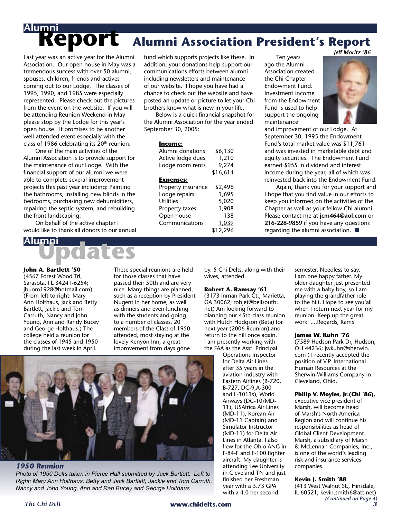# **Report**<br>Last year was an active year for the A **Alumni Association President's Report** *Jeff Moritz '86*

Last year was an active year for the Alumni Association. Our open house in May was a tremendous success with over 50 alumni, spouses, children, friends and actives coming out to our Lodge. The classes of 1995, 1990, and 1985 were especially represented. Please check out the pictures from the event on the website. If you will be attending Reunion Weekend in May please stop by the Lodge for this year's open house. It promises to be another well-attended event especially with the class of 1986 celebrating its  $20<sup>th</sup>$  reunion.

 One of the main activities of the Alumni Association is to provide support for the maintenance of our Lodge. With the financial support of our alumni we were able to complete several improvement projects this past year including: Painting the bathrooms, installing new blinds in the bedrooms, purchasing new dehumidifiers, repairing the septic system, and rebuilding the front landscaping.

 On behalf of the active chapter I would like to thank all donors to our annual

# **Updates Alumni**

#### **John A. Bartlett '50**

(4567 Forest Wood Trl, Sarasota, FL 34241-6254; jbuom1928@hotmail.com) (From left to right: Mary Ann Holthaus, Jack and Betty Bartlett, Jackie and Tom Carruth, Nancy and John Young, Ann and Randy Bucey and George Holthaus.) The college held a reunion for the classes of 1945 and 1950 during the last week in April.

These special reunions are held for those classes that have passed their 50th and are very nice. Many things are planned, such as a reception by President Nugent in her home, as well as dinners and even lunching with the students and going to a number of classes. 20 members of the Class of 1950 attended, most staying at the lovely Kenyon Inn, a great improvement from days gone



#### *1950 Reunion*

*Photo of 1950 Delts taken in Pierce Hall submitted by Jack Bartlett. Left to Right: Mary Ann Holthaus, Betty and Jack Bartlett, Jackie and Tom Carruth, Nancy and John Young, Ann and Ran Bucey and George Holthaus*

fund which supports projects like these. In addition, your donations help support our communications efforts between alumni including newsletters and maintenance of our website. I hope you have had a chance to check out the website and have posted an update or picture to let your Chi brothers know what is new in your life.

 Below is a quick financial snapshot for the Alumni Association for the year ended September 30, 2005:

#### **Income:**

| Alumni donations   | \$6,130  |
|--------------------|----------|
| Active lodge dues  | 1,210    |
| Lodge room rents   | 9,274    |
|                    | \$16,614 |
| <b>Expenses:</b>   |          |
| Property insurance | \$2,496  |
| Lodge repairs      | 1,695    |
| <b>Utilities</b>   | 5,020    |
| Property taxes     | 1,908    |
| Open house         | 138      |
| Communications     | 1,039    |
|                    | \$12,296 |

 Ten years ago the Alumni Association created the Chi Chapter Endowment Fund. Investment income from the Endowment Fund is used to help support the ongoing maintenance



and improvement of our Lodge. At September 30, 1995 the Endowment Fund's total market value was \$11,761 and was invested in marketable debt and equity securities. The Endowment Fund earned \$955 in dividend and interest income during the year, all of which was reinvested back into the Endowment Fund.

 Again, thank you for your support and I hope that you find value in our efforts to keep you informed on the activities of the Chapter as well as your fellow Chi alumni. Please contact me at **jcm464@aol.com** or **216-228-9859** if you have any questions regarding the alumni association. ■

by. 5 Chi Delts, along with their wives, attended.

#### **Robert A. Ramsay '61**

(3173 Inman Park Ct., Marietta, GA 30062; robjet@bellsouth. net) Am looking forward to planning our 45th class reunion with Hutch Hodgson (Beta) for next year (2006 Reunion) and return to the hill once again. I am presently working with the FAA as the Asst. Principal

Operations Inspector for Delta Air Lines after 35 years in the aviation industry with Eastern Airlines (B-720, B-727, DC-9,A-300 and L-1011s), World Airways (DC-10/MD-11), USAfrica Air Lines (MD-11), Korean Air (MD-11 Captain) and Simulator Instructor (MD-11) for Delta Air Lines in Atlanta. I also flew for the Ohio ANG in F-84-F and F-100 fighter aircraft. My daughter is attending Lee University in Cleveland TN and just finished her Freshman year with a 3.73 GPA with a 4.0 her second

semester. Needless to say, I am one happy father. My older daughter just presented me with a baby boy, so I am playing the grandfather role to the hilt. Hope to see you'all when I return next year for my reunion. Keep up the great work! ....Regards, Rams

#### **James W. Kuhn '76**

(7589 Hudson Park Dr, Hudson, OH 44236; jwkuhn@sherwin. com ) I recently accepted the position of V.P. International Human Resources at the Sherwin-Williams Company in Cleveland, Ohio.

#### **Philip V. Moyles, Jr.(Chi '86),**

executive vice president of Marsh, will become head of Marsh's North America Region and will continue his responsibilities as head of Global Client Development. Marsh, a subsidiary of Marsh & McLennan Companies, Inc., is one of the world's leading risk and insurance services companies.

#### **Kevin J. Smith '88**

(413 West Walnut St., Hinsdale, IL 60521; kevin.smith6@att.net) *(Continued on Page 4)*